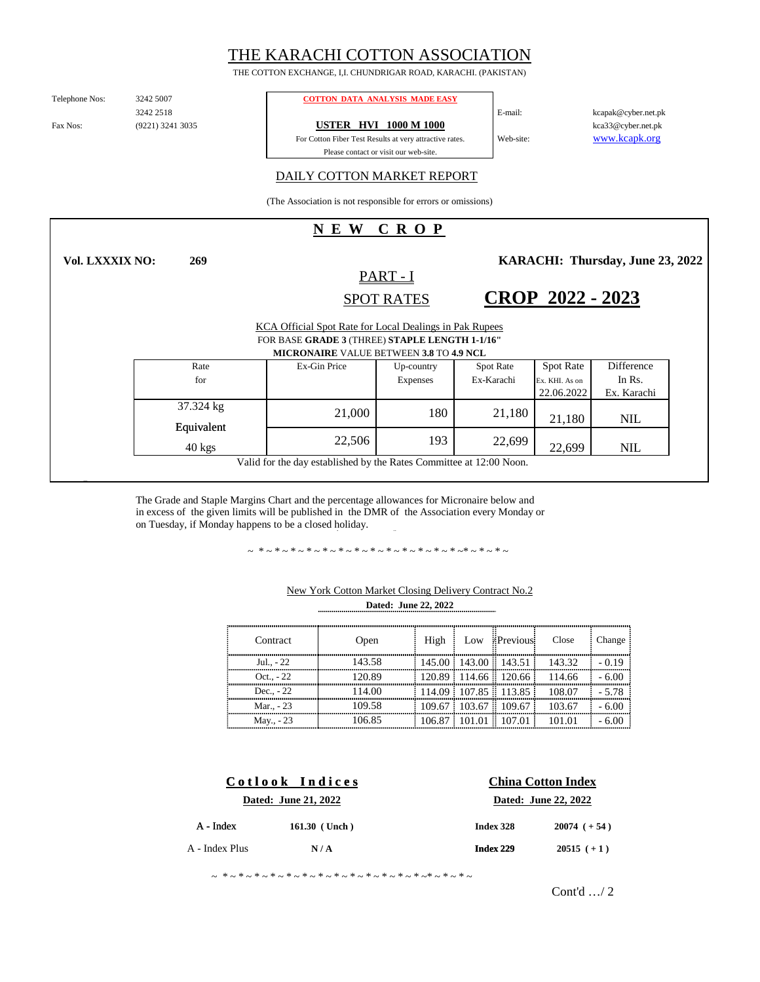# THE KARACHI COTTON ASSOCIATION

THE COTTON EXCHANGE, I,I. CHUNDRIGAR ROAD, KARACHI. (PAKISTAN)

Telephone Nos:

3242 2518 (9221) 3241 3035

**269**

#### 3242 5007 **COTTON DATA ANALYSIS MADE EASY**

Fax Nos: (9221) 3241 3035 **USTER HVI 1000 M 1000** 

For Cotton Fiber Test Results at very attractive rates. Please contact or visit our web-site.

kcapak@cyber.net.pk kca33@cyber.net.pk www.kcapk.org

DAILY COTTON MARKET REPORT

(The Association is not responsible for errors or omissions)

## **N E W C R O P**

**Vol. LXXXIX NO:**

SPOT RATES PART - I

**KARACHI: Thursday, June 23, 2022** 

**CROP 2022 - 2023**

E-mail:

Web-site:

| KCA Official Spot Rate for Local Dealings in Pak Rupees<br>FOR BASE GRADE 3 (THREE) STAPLE LENGTH 1-1/16"<br><b>MICRONAIRE VALUE BETWEEN 3.8 TO 4.9 NCL</b> |              |                               |                                |                                                  |                                     |  |  |
|-------------------------------------------------------------------------------------------------------------------------------------------------------------|--------------|-------------------------------|--------------------------------|--------------------------------------------------|-------------------------------------|--|--|
| Rate<br>for                                                                                                                                                 | Ex-Gin Price | Up-country<br><b>Expenses</b> | <b>Spot Rate</b><br>Ex-Karachi | <b>Spot Rate</b><br>Ex. KHI. As on<br>22.06.2022 | Difference<br>In Rs.<br>Ex. Karachi |  |  |
| 37.324 kg<br>Equivalent                                                                                                                                     | 21,000       | 180                           | 21,180                         | 21,180                                           | <b>NIL</b>                          |  |  |
| $40 \text{ kg}$                                                                                                                                             | 22,506       | 193                           | 22,699                         | 22.699                                           | <b>NIL</b>                          |  |  |
| Valid for the day established by the Rates Committee at 12:00 Noon.                                                                                         |              |                               |                                |                                                  |                                     |  |  |

The Grade and Staple Margins Chart and the percentage allowances for Micronaire below and in excess of the given limits will be published in the DMR of the Association every Monday or on Tuesday, if Monday happens to be a closed holiday.

~ \*~\*~\*~\*~\*~\*~\*~\*~\*~\*~\*~\*~\*~\*~\*~\*~

| Contract     | Open   | High | Low / Previous | Close                                 | Change  |
|--------------|--------|------|----------------|---------------------------------------|---------|
| Jul - 22     | 143.58 |      |                | $145.00$ 143.00 143.51 143.32         | -019    |
| Oct. $. -22$ | 120.89 |      |                | $120.89$ 114.66 120.66 114.66         | $-6.00$ |
| Dec. $-22$   | 114.00 |      |                | $\frac{114.09}{107.85}$ 113.85 108.07 | $-5.78$ |
| Mar - 23     | 109.58 |      |                | $109.67$ 103.67 109.67 103.67         | $-6.00$ |
| May., - 23   | 1በ6 ዩና |      |                | $106.87$ 101.01 107.01 101.01         |         |

### **Dated: June 22, 2022** New York Cotton Market Closing Delivery Contract No.2

| Cotlook Indices |                      | <b>China Cotton Index</b> |                      |  |  |
|-----------------|----------------------|---------------------------|----------------------|--|--|
|                 | Dated: June 21, 2022 |                           | Dated: June 22, 2022 |  |  |
| $A$ - Index     | 161.30 (Unch)        | Index 328                 | $20074 (+54)$        |  |  |
| A - Index Plus  | N/A                  | Index 229                 | $20515 (+1)$         |  |  |
|                 |                      |                           |                      |  |  |

~ \*~\*~\*~\*~\*~\*~\*~\*~\*~\*~\*~\*~\*~\*~\*~\*~

Cont'd …/ 2